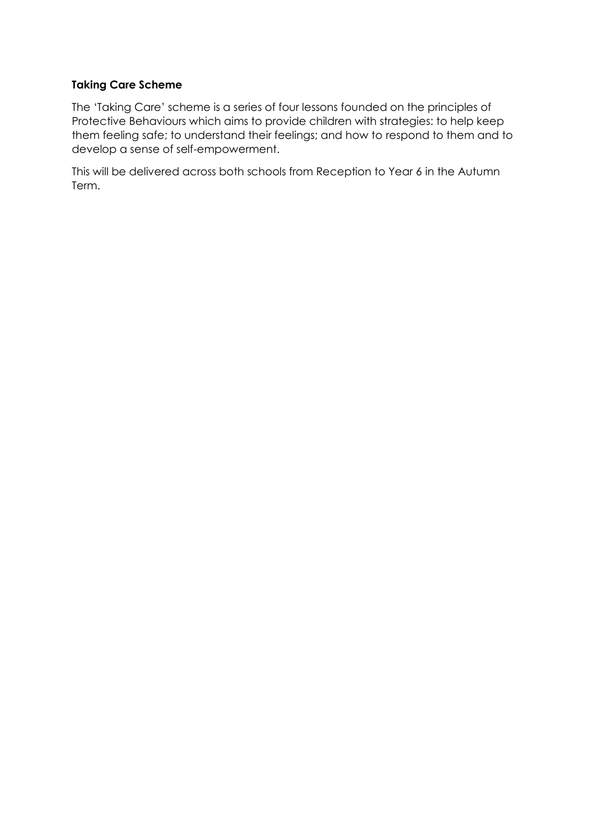## **Taking Care Scheme**

The 'Taking Care' scheme is a series of four lessons founded on the principles of Protective Behaviours which aims to provide children with strategies: to help keep them feeling safe; to understand their feelings; and how to respond to them and to develop a sense of self-empowerment.

This will be delivered across both schools from Reception to Year 6 in the Autumn Term.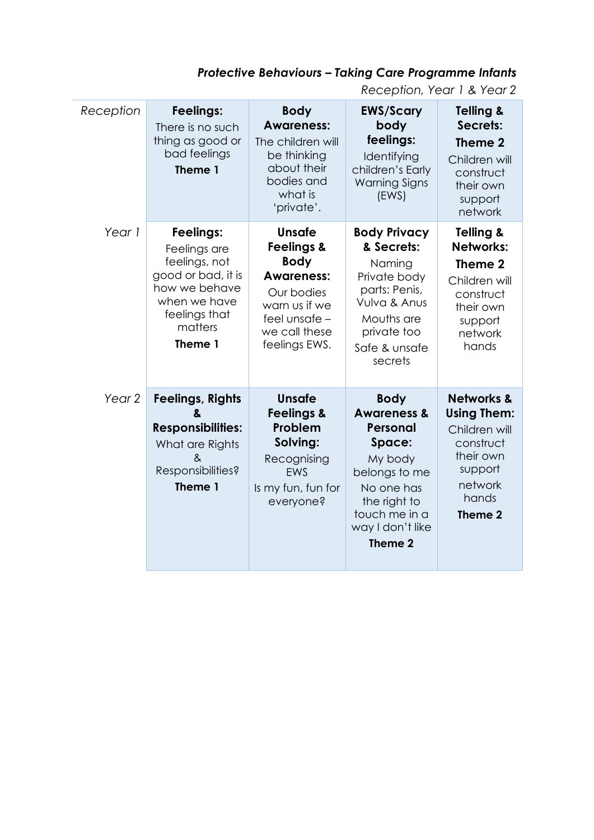## *Protective Behaviours – Taking Care Programme Infants*

*Reception, Year 1 & Year 2*

| Reception         | Feelings:<br>There is no such<br>thing as good or<br>bad feelings<br>Theme 1                                                             | <b>Body</b><br><b>Awareness:</b><br>The children will<br>be thinking<br>about their<br>bodies and<br>what is<br>'private'.                            | <b>EWS/Scary</b><br>body<br>feelings:<br>Identifying<br>children's Early<br><b>Warning Signs</b><br>(EWS)                                                             | <b>Telling &amp;</b><br>Secrets:<br>Theme 2<br>Children will<br>construct<br>their own<br>support<br>network                     |
|-------------------|------------------------------------------------------------------------------------------------------------------------------------------|-------------------------------------------------------------------------------------------------------------------------------------------------------|-----------------------------------------------------------------------------------------------------------------------------------------------------------------------|----------------------------------------------------------------------------------------------------------------------------------|
| Year 1            | Feelings:<br>Feelings are<br>feelings, not<br>good or bad, it is<br>how we behave<br>when we have<br>feelings that<br>matters<br>Theme 1 | Unsafe<br><b>Feelings &amp;</b><br><b>Body</b><br><b>Awareness:</b><br>Our bodies<br>warn us if we<br>feel unsafe -<br>we call these<br>feelings EWS. | <b>Body Privacy</b><br>& Secrets:<br>Naming<br>Private body<br>parts: Penis,<br>Vulva & Anus<br>Mouths are<br>private too<br>Safe & unsafe<br>secrets                 | <b>Telling &amp;</b><br><b>Networks:</b><br>Theme 2<br>Children will<br>construct<br>their own<br>support<br>network<br>hands    |
| Year <sub>2</sub> | <b>Feelings, Rights</b><br>&<br><b>Responsibilities:</b><br>What are Rights<br>&<br>Responsibilities?<br>Theme 1                         | <b>Unsafe</b><br><b>Feelings &amp;</b><br>Problem<br>Solving:<br>Recognising<br>EWS<br>Is my fun, fun for<br>everyone?                                | <b>Body</b><br><b>Awareness &amp;</b><br>Personal<br>Space:<br>My body<br>belongs to me<br>No one has<br>the right to<br>touch me in a<br>way I don't like<br>Theme 2 | <b>Networks &amp;</b><br><b>Using Them:</b><br>Children will<br>construct<br>their own<br>support<br>network<br>hands<br>Theme 2 |